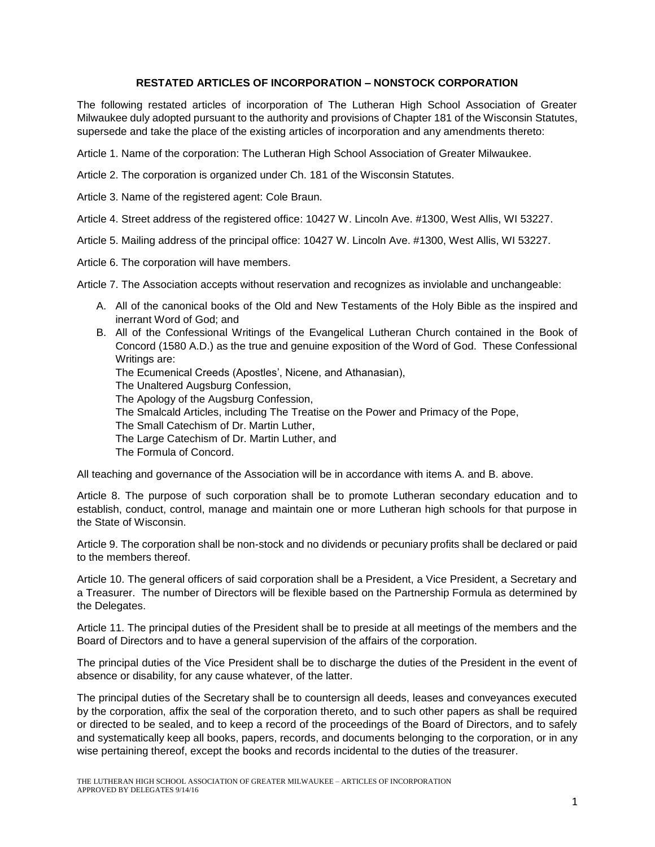# **RESTATED ARTICLES OF INCORPORATION – NONSTOCK CORPORATION**

The following restated articles of incorporation of The Lutheran High School Association of Greater Milwaukee duly adopted pursuant to the authority and provisions of Chapter 181 of the Wisconsin Statutes, supersede and take the place of the existing articles of incorporation and any amendments thereto:

Article 1. Name of the corporation: The Lutheran High School Association of Greater Milwaukee.

Article 2. The corporation is organized under Ch. 181 of the Wisconsin Statutes.

Article 3. Name of the registered agent: Cole Braun.

Article 4. Street address of the registered office: 10427 W. Lincoln Ave. #1300, West Allis, WI 53227.

Article 5. Mailing address of the principal office: 10427 W. Lincoln Ave. #1300, West Allis, WI 53227.

Article 6. The corporation will have members.

Article 7. The Association accepts without reservation and recognizes as inviolable and unchangeable:

- A. All of the canonical books of the Old and New Testaments of the Holy Bible as the inspired and inerrant Word of God; and
- B. All of the Confessional Writings of the Evangelical Lutheran Church contained in the Book of Concord (1580 A.D.) as the true and genuine exposition of the Word of God. These Confessional Writings are: The Ecumenical Creeds (Apostles', Nicene, and Athanasian), The Unaltered Augsburg Confession, The Apology of the Augsburg Confession, The Smalcald Articles, including The Treatise on the Power and Primacy of the Pope, The Small Catechism of Dr. Martin Luther, The Large Catechism of Dr. Martin Luther, and The Formula of Concord.

All teaching and governance of the Association will be in accordance with items A. and B. above.

Article 8. The purpose of such corporation shall be to promote Lutheran secondary education and to establish, conduct, control, manage and maintain one or more Lutheran high schools for that purpose in the State of Wisconsin.

Article 9. The corporation shall be non-stock and no dividends or pecuniary profits shall be declared or paid to the members thereof.

Article 10. The general officers of said corporation shall be a President, a Vice President, a Secretary and a Treasurer. The number of Directors will be flexible based on the Partnership Formula as determined by the Delegates.

Article 11. The principal duties of the President shall be to preside at all meetings of the members and the Board of Directors and to have a general supervision of the affairs of the corporation.

The principal duties of the Vice President shall be to discharge the duties of the President in the event of absence or disability, for any cause whatever, of the latter.

The principal duties of the Secretary shall be to countersign all deeds, leases and conveyances executed by the corporation, affix the seal of the corporation thereto, and to such other papers as shall be required or directed to be sealed, and to keep a record of the proceedings of the Board of Directors, and to safely and systematically keep all books, papers, records, and documents belonging to the corporation, or in any wise pertaining thereof, except the books and records incidental to the duties of the treasurer.